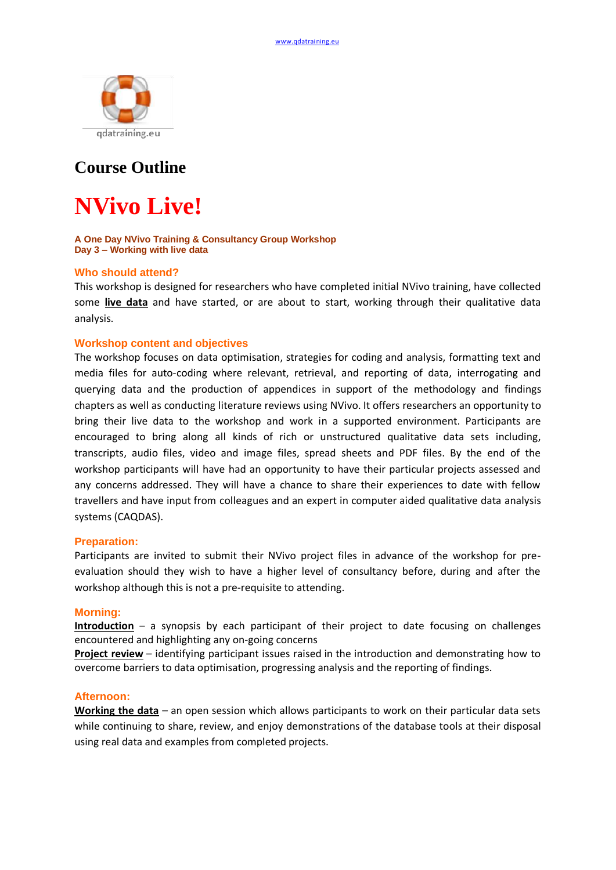

# **Course Outline**

# **NVivo Live!**

#### **A One Day NVivo Training & Consultancy Group Workshop Day 3 – Working with live data**

# **Who should attend?**

This workshop is designed for researchers who have completed initial NVivo training, have collected some **live data** and have started, or are about to start, working through their qualitative data analysis.

# **Workshop content and objectives**

The workshop focuses on data optimisation, strategies for coding and analysis, formatting text and media files for auto-coding where relevant, retrieval, and reporting of data, interrogating and querying data and the production of appendices in support of the methodology and findings chapters as well as conducting literature reviews using NVivo. It offers researchers an opportunity to bring their live data to the workshop and work in a supported environment. Participants are encouraged to bring along all kinds of rich or unstructured qualitative data sets including, transcripts, audio files, video and image files, spread sheets and PDF files. By the end of the workshop participants will have had an opportunity to have their particular projects assessed and any concerns addressed. They will have a chance to share their experiences to date with fellow travellers and have input from colleagues and an expert in computer aided qualitative data analysis systems (CAQDAS).

#### **Preparation:**

Participants are invited to submit their NVivo project files in advance of the workshop for preevaluation should they wish to have a higher level of consultancy before, during and after the workshop although this is not a pre-requisite to attending.

#### **Morning:**

**Introduction** – a synopsis by each participant of their project to date focusing on challenges encountered and highlighting any on-going concerns

**Project review** – identifying participant issues raised in the introduction and demonstrating how to overcome barriers to data optimisation, progressing analysis and the reporting of findings.

## **Afternoon:**

**Working the data** – an open session which allows participants to work on their particular data sets while continuing to share, review, and enjoy demonstrations of the database tools at their disposal using real data and examples from completed projects.